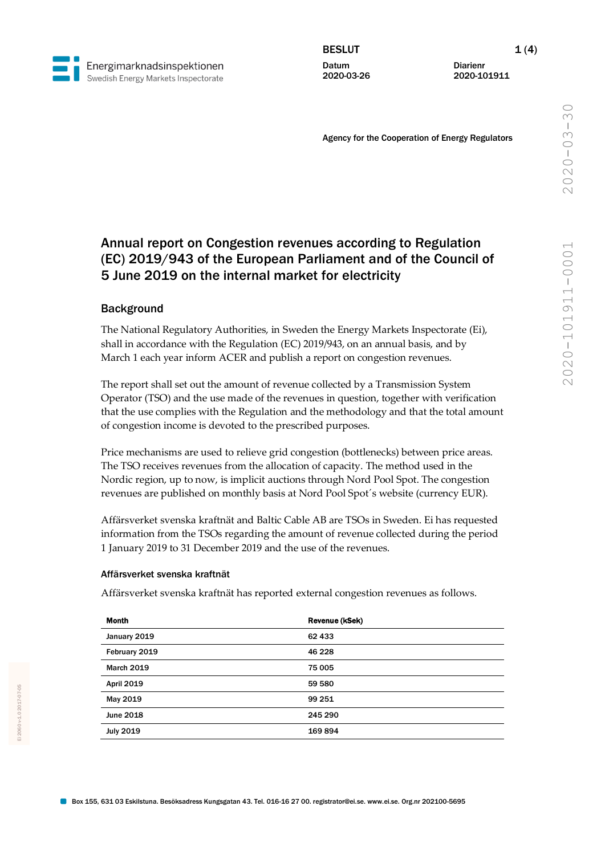Datum 2020-03-26 Diarienr 2020-101911

Agency for the Cooperation of Energy Regulators

# Annual report on Congestion revenues according to Regulation (EC) 2019/943 of the European Parliament and of the Council of 5 June 2019 on the internal market for electricity

## **Background**

Energimarknadsinspektionen Swedish Energy Markets Inspectorate

> The National Regulatory Authorities, in Sweden the Energy Markets Inspectorate (Ei), shall in accordance with the Regulation (EC) 2019/943, on an annual basis, and by March 1 each year inform ACER and publish a report on congestion revenues.

The report shall set out the amount of revenue collected by a Transmission System Operator (TSO) and the use made of the revenues in question, together with verification that the use complies with the Regulation and the methodology and that the total amount of congestion income is devoted to the prescribed purposes.

Price mechanisms are used to relieve grid congestion (bottlenecks) between price areas. The TSO receives revenues from the allocation of capacity. The method used in the Nordic region, up to now, is implicit auctions through Nord Pool Spot. The congestion revenues are published on monthly basis at Nord Pool Spot´s website (currency EUR).

Affärsverket svenska kraftnät and Baltic Cable AB are TSOs in Sweden. Ei has requested information from the TSOs regarding the amount of revenue collected during the period 1 January 2019 to 31 December 2019 and the use of the revenues.

#### Affärsverket svenska kraftnät

Affärsverket svenska kraftnät has reported external congestion revenues as follows.

| <b>Month</b>      | Revenue (kSek) |  |
|-------------------|----------------|--|
| January 2019      | 62 433         |  |
| February 2019     | 46 228         |  |
| <b>March 2019</b> | 75 005         |  |
| <b>April 2019</b> | 59 580         |  |
| May 2019          | 99 251         |  |
| June 2018         | 245 290        |  |
| <b>July 2019</b>  | 169894         |  |
|                   |                |  |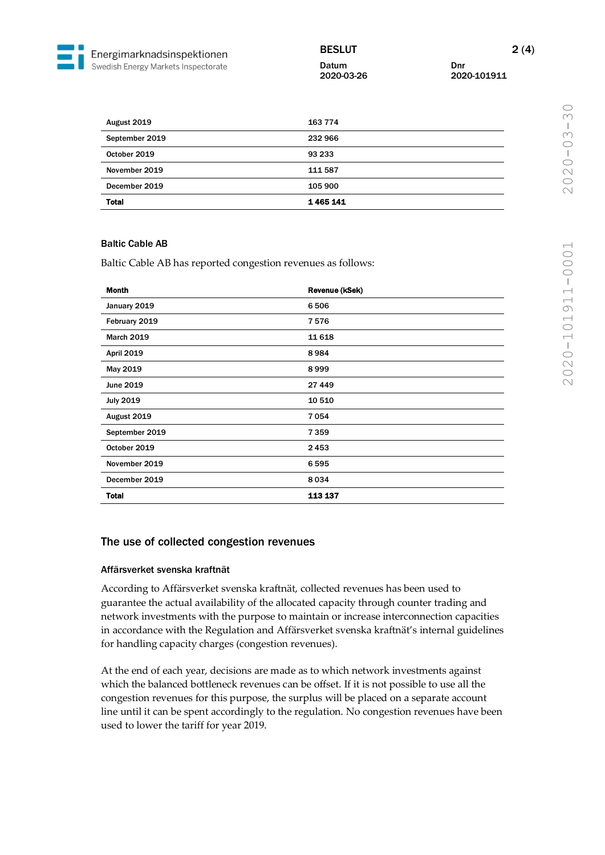# BESLUT 2(4)

Datum Dnr

2020-03-26 2020-101911

| <b>Total</b>   | 1465141 |
|----------------|---------|
| December 2019  | 105 900 |
| November 2019  | 111 587 |
| October 2019   | 93 233  |
| September 2019 | 232 966 |
| August 2019    | 163 774 |

#### Baltic Cable AB

Baltic Cable AB has reported congestion revenues as follows:

| <b>Month</b>      | Revenue (kSek) |
|-------------------|----------------|
| January 2019      | 6506           |
| February 2019     | 7576           |
| <b>March 2019</b> | 11 6 18        |
| <b>April 2019</b> | 8984           |
| May 2019          | 8999           |
| June 2019         | 27 449         |
| <b>July 2019</b>  | 10 510         |
| August 2019       | 7054           |
| September 2019    | 7359           |
| October 2019      | 2453           |
| November 2019     | 6595           |
| December 2019     | 8034           |
| <b>Total</b>      | 113 137        |

## The use of collected congestion revenues

#### Affärsverket svenska kraftnät

According to Affärsverket svenska kraftnät, collected revenues has been used to guarantee the actual availability of the allocated capacity through counter trading and network investments with the purpose to maintain or increase interconnection capacities in accordance with the Regulation and Affärsverket svenska kraftnät's internal guidelines for handling capacity charges (congestion revenues).

At the end of each year, decisions are made as to which network investments against which the balanced bottleneck revenues can be offset. If it is not possible to use all the congestion revenues for this purpose, the surplus will be placed on a separate account line until it can be spent accordingly to the regulation. No congestion revenues have been used to lower the tariff for year 2019.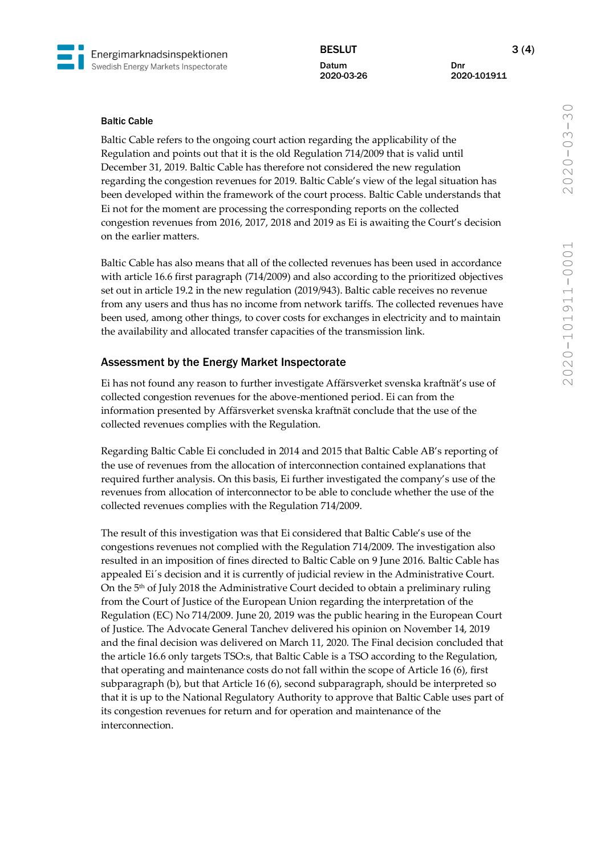

BESLUT 3 (4) Datum Dnr

2020-03-26 2020-101911

#### Baltic Cable

Baltic Cable refers to the ongoing court action regarding the applicability of the Regulation and points out that it is the old Regulation 714/2009 that is valid until December 31, 2019. Baltic Cable has therefore not considered the new regulation regarding the congestion revenues for 2019. Baltic Cable's view of the legal situation has been developed within the framework of the court process. Baltic Cable understands that Ei not for the moment are processing the corresponding reports on the collected congestion revenues from 2016, 2017, 2018 and 2019 as Ei is awaiting the Court's decision on the earlier matters.

Baltic Cable has also means that all of the collected revenues has been used in accordance with article 16.6 first paragraph (714/2009) and also according to the prioritized objectives set out in article 19.2 in the new regulation (2019/943). Baltic cable receives no revenue from any users and thus has no income from network tariffs. The collected revenues have been used, among other things, to cover costs for exchanges in electricity and to maintain the availability and allocated transfer capacities of the transmission link.

#### Assessment by the Energy Market Inspectorate

Ei has not found any reason to further investigate Affärsverket svenska kraftnät's use of collected congestion revenues for the above-mentioned period. Ei can from the information presented by Affärsverket svenska kraftnät conclude that the use of the collected revenues complies with the Regulation.

Regarding Baltic Cable Ei concluded in 2014 and 2015 that Baltic Cable AB's reporting of the use of revenues from the allocation of interconnection contained explanations that required further analysis. On this basis, Ei further investigated the company's use of the revenues from allocation of interconnector to be able to conclude whether the use of the collected revenues complies with the Regulation 714/2009.

The result of this investigation was that Ei considered that Baltic Cable's use of the congestions revenues not complied with the Regulation 714/2009. The investigation also resulted in an imposition of fines directed to Baltic Cable on 9 June 2016. Baltic Cable has appealed Ei´s decision and it is currently of judicial review in the Administrative Court. On the 5th of July 2018 the Administrative Court decided to obtain a preliminary ruling from the Court of Justice of the European Union regarding the interpretation of the Regulation (EC) No 714/2009. June 20, 2019 was the public hearing in the European Court of Justice. The Advocate General Tanchev delivered his opinion on November 14, 2019 and the final decision was delivered on March 11, 2020. The Final decision concluded that the article 16.6 only targets TSO:s, that Baltic Cable is a TSO according to the Regulation, that operating and maintenance costs do not fall within the scope of Article 16 (6), first subparagraph (b), but that Article 16 (6), second subparagraph, should be interpreted so that it is up to the National Regulatory Authority to approve that Baltic Cable uses part of its congestion revenues for return and for operation and maintenance of the interconnection.